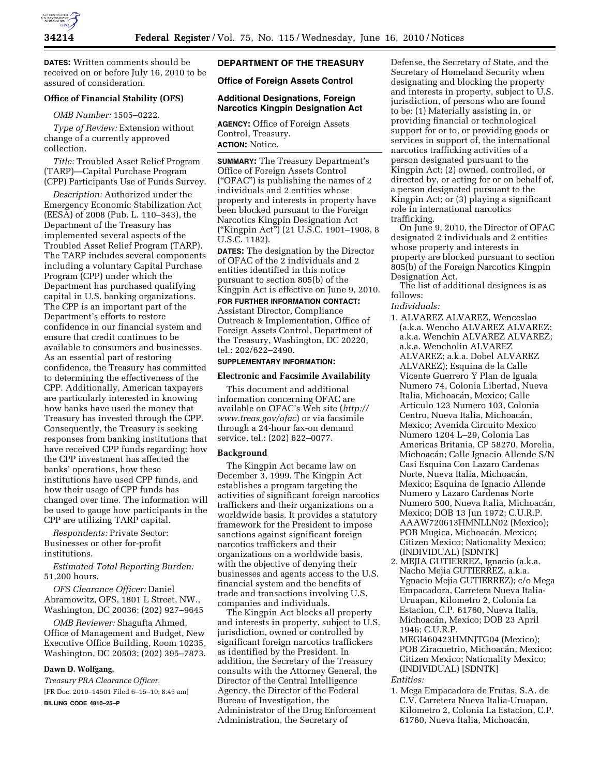

**DATES:** Written comments should be received on or before July 16, 2010 to be assured of consideration.

# **Office of Financial Stability (OFS)**

### *OMB Number:* 1505–0222.

*Type of Review:* Extension without change of a currently approved collection.

*Title:* Troubled Asset Relief Program (TARP)—Capital Purchase Program (CPP) Participants Use of Funds Survey.

*Description:* Authorized under the Emergency Economic Stabilization Act (EESA) of 2008 (Pub. L. 110–343), the Department of the Treasury has implemented several aspects of the Troubled Asset Relief Program (TARP). The TARP includes several components including a voluntary Capital Purchase Program (CPP) under which the Department has purchased qualifying capital in U.S. banking organizations. The CPP is an important part of the Department's efforts to restore confidence in our financial system and ensure that credit continues to be available to consumers and businesses. As an essential part of restoring confidence, the Treasury has committed to determining the effectiveness of the CPP. Additionally, American taxpayers are particularly interested in knowing how banks have used the money that Treasury has invested through the CPP. Consequently, the Treasury is seeking responses from banking institutions that have received CPP funds regarding: how the CPP investment has affected the banks' operations, how these institutions have used CPP funds, and how their usage of CPP funds has changed over time. The information will be used to gauge how participants in the CPP are utilizing TARP capital.

*Respondents:* Private Sector: Businesses or other for-profit institutions.

*Estimated Total Reporting Burden:*  51,200 hours.

*OFS Clearance Officer:* Daniel Abramowitz, OFS, 1801 L Street, NW., Washington, DC 20036; (202) 927–9645

*OMB Reviewer:* Shagufta Ahmed, Office of Management and Budget, New Executive Office Building, Room 10235, Washington, DC 20503; (202) 395–7873.

# **Dawn D. Wolfgang,**

*Treasury PRA Clearance Officer.*  [FR Doc. 2010–14501 Filed 6–15–10; 8:45 am]

**BILLING CODE 4810–25–P** 

# **DEPARTMENT OF THE TREASURY**

## **Office of Foreign Assets Control**

## **Additional Designations, Foreign Narcotics Kingpin Designation Act**

**AGENCY:** Office of Foreign Assets Control, Treasury. **ACTION:** Notice.

**SUMMARY:** The Treasury Department's Office of Foreign Assets Control (''OFAC'') is publishing the names of 2 individuals and 2 entities whose property and interests in property have been blocked pursuant to the Foreign Narcotics Kingpin Designation Act (''Kingpin Act'') (21 U.S.C. 1901–1908, 8 U.S.C. 1182).

**DATES:** The designation by the Director of OFAC of the 2 individuals and 2 entities identified in this notice pursuant to section 805(b) of the Kingpin Act is effective on June 9, 2010.

# **FOR FURTHER INFORMATION CONTACT:**

Assistant Director, Compliance Outreach & Implementation, Office of Foreign Assets Control, Department of the Treasury, Washington, DC 20220, tel.: 202/622–2490.

## **SUPPLEMENTARY INFORMATION:**

## **Electronic and Facsimile Availability**

This document and additional information concerning OFAC are available on OFAC's Web site (*http:// www.treas.gov/ofac*) or via facsimile through a 24-hour fax-on demand service, tel.: (202) 622–0077.

### **Background**

The Kingpin Act became law on December 3, 1999. The Kingpin Act establishes a program targeting the activities of significant foreign narcotics traffickers and their organizations on a worldwide basis. It provides a statutory framework for the President to impose sanctions against significant foreign narcotics traffickers and their organizations on a worldwide basis, with the objective of denying their businesses and agents access to the U.S. financial system and the benefits of trade and transactions involving U.S. companies and individuals.

The Kingpin Act blocks all property and interests in property, subject to U.S. jurisdiction, owned or controlled by significant foreign narcotics traffickers as identified by the President. In addition, the Secretary of the Treasury consults with the Attorney General, the Director of the Central Intelligence Agency, the Director of the Federal Bureau of Investigation, the Administrator of the Drug Enforcement Administration, the Secretary of

Defense, the Secretary of State, and the Secretary of Homeland Security when designating and blocking the property and interests in property, subject to U.S. jurisdiction, of persons who are found to be: (1) Materially assisting in, or providing financial or technological support for or to, or providing goods or services in support of, the international narcotics trafficking activities of a person designated pursuant to the Kingpin Act; (2) owned, controlled, or directed by, or acting for or on behalf of, a person designated pursuant to the Kingpin Act; or (3) playing a significant role in international narcotics trafficking.

On June 9, 2010, the Director of OFAC designated 2 individuals and 2 entities whose property and interests in property are blocked pursuant to section 805(b) of the Foreign Narcotics Kingpin Designation Act.

The list of additional designees is as follows:

## *Individuals:*

1. ALVAREZ ALVAREZ, Wenceslao (a.k.a. Wencho ALVAREZ ALVAREZ; a.k.a. Wenchin ALVAREZ ALVAREZ; a.k.a. Wencholin ALVAREZ ALVAREZ; a.k.a. Dobel ALVAREZ ALVAREZ); Esquina de la Calle Vicente Guerrero Y Plan de Iguala Numero 74, Colonia Libertad, Nueva Italia, Michoacán, Mexico; Calle Articulo 123 Numero 103, Colonia Centro, Nueva Italia, Michoacán, Mexico; Avenida Circuito Mexico Numero 1204 L–29, Colonia Las Americas Britania, CP 58270, Morelia, Michoacán; Calle Ignacio Allende S/N Casi Esquina Con Lazaro Cardenas Norte, Nueva Italia, Michoacán, Mexico; Esquina de Ignacio Allende Numero y Lazaro Cardenas Norte Numero 500, Nueva Italia, Michoacán, Mexico; DOB 13 Jun 1972; C.U.R.P. AAAW720613HMNLLN02 (Mexico); POB Mugica, Michoacán, Mexico; Citizen Mexico; Nationality Mexico; (INDIVIDUAL) [SDNTK]

2. MEJIA GUTIERREZ, Ignacio (a.k.a. Nacho Mejia GUTIERREZ, a.k.a. Ygnacio Mejia GUTIERREZ); c/o Mega Empacadora, Carretera Nueva Italia-Uruapan, Kilometro 2, Colonia La Estacion, C.P. 61760, Nueva Italia, Michoacán, Mexico; DOB 23 April 1946; C.U.R.P.

MEGI460423HMNJTG04 (Mexico); POB Ziracuetrio, Michoacán, Mexico; Citizen Mexico; Nationality Mexico; (INDIVIDUAL) [SDNTK]

# *Entities:*

1. Mega Empacadora de Frutas, S.A. de C.V. Carretera Nueva Italia-Uruapan, Kilometro 2, Colonia La Estacion, C.P. 61760, Nueva Italia, Michoacán,